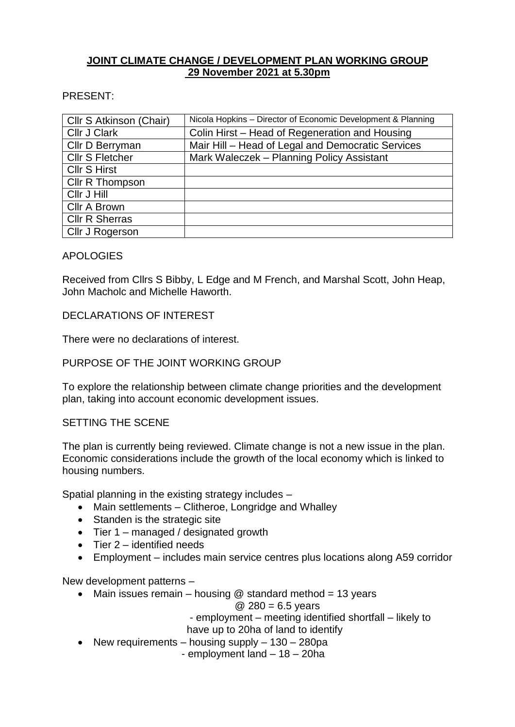# **JOINT CLIMATE CHANGE / DEVELOPMENT PLAN WORKING GROUP 29 November 2021 at 5.30pm**

PRESENT:

| Cllr S Atkinson (Chair) | Nicola Hopkins - Director of Economic Development & Planning |
|-------------------------|--------------------------------------------------------------|
| <b>Cllr J Clark</b>     | Colin Hirst – Head of Regeneration and Housing               |
| Cllr D Berryman         | Mair Hill - Head of Legal and Democratic Services            |
| <b>Cllr S Fletcher</b>  | Mark Waleczek – Planning Policy Assistant                    |
| <b>Cllr S Hirst</b>     |                                                              |
| Cllr R Thompson         |                                                              |
| Cllr J Hill             |                                                              |
| Cllr A Brown            |                                                              |
| <b>Cllr R Sherras</b>   |                                                              |
| Cllr J Rogerson         |                                                              |

## APOLOGIES

Received from Cllrs S Bibby, L Edge and M French, and Marshal Scott, John Heap, John Macholc and Michelle Haworth.

### DECLARATIONS OF INTEREST

There were no declarations of interest.

## PURPOSE OF THE JOINT WORKING GROUP

To explore the relationship between climate change priorities and the development plan, taking into account economic development issues.

#### SETTING THE SCENE

The plan is currently being reviewed. Climate change is not a new issue in the plan. Economic considerations include the growth of the local economy which is linked to housing numbers.

Spatial planning in the existing strategy includes –

- Main settlements Clitheroe, Longridge and Whalley
- Standen is the strategic site
- Tier 1 managed / designated growth
- $\bullet$  Tier 2 identified needs
- Employment includes main service centres plus locations along A59 corridor

New development patterns –

• Main issues remain – housing  $@$  standard method = 13 years

#### $@ 280 = 6.5$  years

- employment – meeting identified shortfall – likely to

- have up to 20ha of land to identify
- New requirements housing supply  $130 280$ pa

- employment land – 18 – 20ha